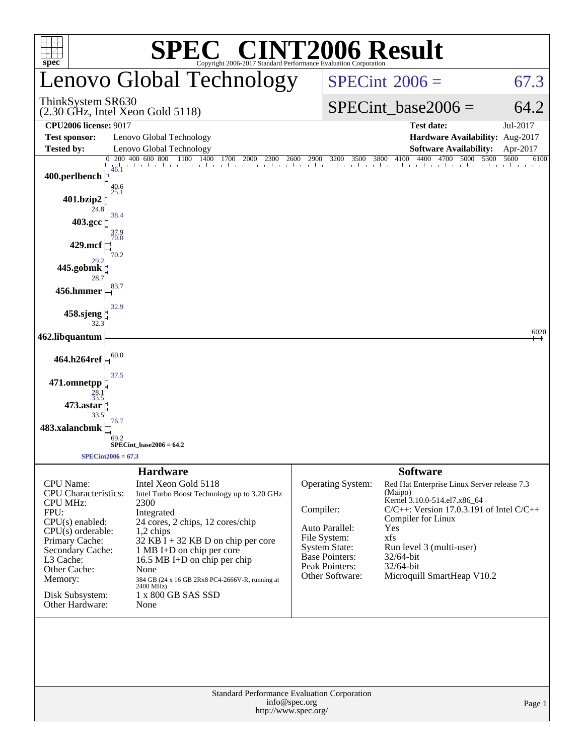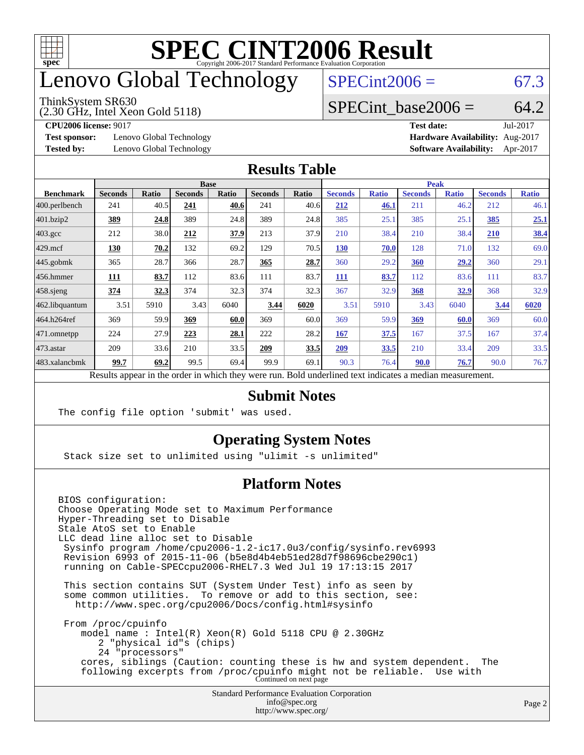

## enovo Global Technology

#### ThinkSystem SR630

(2.30 GHz, Intel Xeon Gold 5118)

 $SPECint2006 = 67.3$  $SPECint2006 = 67.3$ 

### SPECint base2006 =  $64.2$

**[Test sponsor:](http://www.spec.org/auto/cpu2006/Docs/result-fields.html#Testsponsor)** Lenovo Global Technology **[Hardware Availability:](http://www.spec.org/auto/cpu2006/Docs/result-fields.html#HardwareAvailability)** Aug-2017

**[CPU2006 license:](http://www.spec.org/auto/cpu2006/Docs/result-fields.html#CPU2006license)** 9017 **[Test date:](http://www.spec.org/auto/cpu2006/Docs/result-fields.html#Testdate)** Jul-2017 **[Tested by:](http://www.spec.org/auto/cpu2006/Docs/result-fields.html#Testedby)** Lenovo Global Technology **[Software Availability:](http://www.spec.org/auto/cpu2006/Docs/result-fields.html#SoftwareAvailability)** Apr-2017

#### **[Results Table](http://www.spec.org/auto/cpu2006/Docs/result-fields.html#ResultsTable)**

|                                                                                                          | <b>Base</b>    |              |                |              | <b>Peak</b>    |       |                |              |                |              |                |              |
|----------------------------------------------------------------------------------------------------------|----------------|--------------|----------------|--------------|----------------|-------|----------------|--------------|----------------|--------------|----------------|--------------|
| <b>Benchmark</b>                                                                                         | <b>Seconds</b> | <b>Ratio</b> | <b>Seconds</b> | <b>Ratio</b> | <b>Seconds</b> | Ratio | <b>Seconds</b> | <b>Ratio</b> | <b>Seconds</b> | <b>Ratio</b> | <b>Seconds</b> | <b>Ratio</b> |
| 400.perlbench                                                                                            | 241            | 40.5         | 241            | 40.6         | 241            | 40.6  | 212            | 46.1         | 211            | 46.2         | 212            | 46.1         |
| 401.bzip2                                                                                                | <u>389</u>     | 24.8         | 389            | 24.8         | 389            | 24.8  | 385            | 25.1         | 385            | 25.1         | 385            | 25.1         |
| $403.\mathrm{gcc}$                                                                                       | 212            | 38.0         | 212            | 37.9         | 213            | 37.9  | 210            | 38.4         | 210            | 38.4         | 210            | <u>38.4</u>  |
| $429$ mcf                                                                                                | 130            | 70.2         | 132            | 69.2         | 129            | 70.5  | <b>130</b>     | 70.0         | 128            | 71.0         | 132            | 69.0         |
| $445$ .gobmk                                                                                             | 365            | 28.7         | 366            | 28.7         | 365            | 28.7  | 360            | 29.2         | 360            | 29,2         | 360            | 29.1         |
| $456.$ hmmer                                                                                             | 111            | 83.7         | 112            | 83.6         | 111            | 83.7  | 111            | 83.7         | 112            | 83.6         | 111            | 83.7         |
| $458$ .sjeng                                                                                             | 374            | <u>32.3</u>  | 374            | 32.3         | 374            | 32.3  | 367            | 32.9         | 368            | 32.9         | 368            | 32.9         |
| 462.libquantum                                                                                           | 3.51           | 5910         | 3.43           | 6040         | 3.44           | 6020  | 3.51           | 5910         | 3.43           | 6040         | 3.44           | 6020         |
| 464.h264ref                                                                                              | 369            | 59.9         | 369            | 60.0         | 369            | 60.0  | 369            | 59.9         | 369            | 60.0         | 369            | 60.0         |
| $ 471$ .omnetpp                                                                                          | 224            | 27.9         | 223            | 28.1         | 222            | 28.2  | 167            | 37.5         | 167            | 37.5         | 167            | 37.4         |
| $473$ . astar                                                                                            | 209            | 33.6         | 210            | 33.5         | 209            | 33.5  | 209            | 33.5         | 210            | 33.4         | 209            | 33.5         |
| 483.xalancbmk                                                                                            | 99.7           | 69.2         | 99.5           | 69.4         | 99.9           | 69.1  | 90.3           | 76.4         | 90.0           | 76.7         | 90.0           | 76.7         |
| Results appear in the order in which they were run. Bold underlined text indicates a median measurement. |                |              |                |              |                |       |                |              |                |              |                |              |

### **[Submit Notes](http://www.spec.org/auto/cpu2006/Docs/result-fields.html#SubmitNotes)**

The config file option 'submit' was used.

### **[Operating System Notes](http://www.spec.org/auto/cpu2006/Docs/result-fields.html#OperatingSystemNotes)**

Stack size set to unlimited using "ulimit -s unlimited"

### **[Platform Notes](http://www.spec.org/auto/cpu2006/Docs/result-fields.html#PlatformNotes)**

Standard Performance Evaluation Corporation [info@spec.org](mailto:info@spec.org) BIOS configuration: Choose Operating Mode set to Maximum Performance Hyper-Threading set to Disable Stale AtoS set to Enable LLC dead line alloc set to Disable Sysinfo program /home/cpu2006-1.2-ic17.0u3/config/sysinfo.rev6993 Revision 6993 of 2015-11-06 (b5e8d4b4eb51ed28d7f98696cbe290c1) running on Cable-SPECcpu2006-RHEL7.3 Wed Jul 19 17:13:15 2017 This section contains SUT (System Under Test) info as seen by some common utilities. To remove or add to this section, see: <http://www.spec.org/cpu2006/Docs/config.html#sysinfo> From /proc/cpuinfo model name : Intel(R) Xeon(R) Gold 5118 CPU @ 2.30GHz 2 "physical id"s (chips) 24 "processors" cores, siblings (Caution: counting these is hw and system dependent. The following excerpts from /proc/cpuinfo might not be reliable. Use with Continued on next page

<http://www.spec.org/>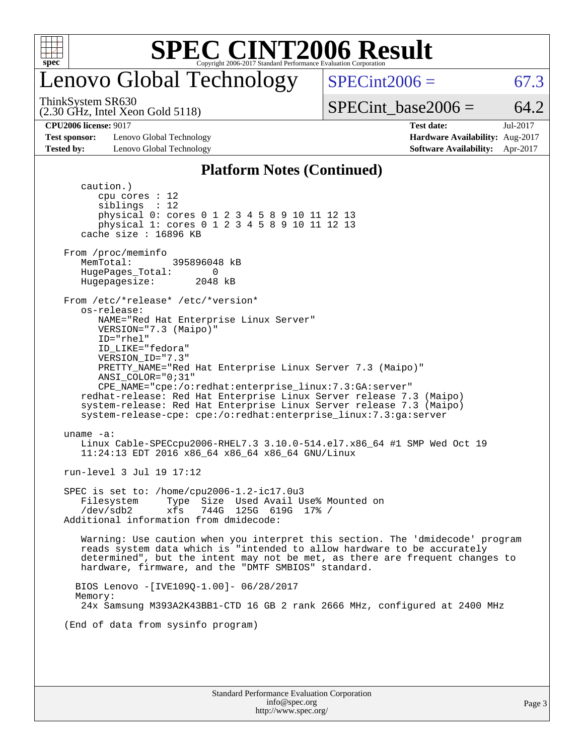

## enovo Global Technology

 $SPECint2006 = 67.3$  $SPECint2006 = 67.3$ 

(2.30 GHz, Intel Xeon Gold 5118) ThinkSystem SR630

SPECint base2006 =  $64.2$ 

**[Test sponsor:](http://www.spec.org/auto/cpu2006/Docs/result-fields.html#Testsponsor)** Lenovo Global Technology **[Hardware Availability:](http://www.spec.org/auto/cpu2006/Docs/result-fields.html#HardwareAvailability)** Aug-2017 **[Tested by:](http://www.spec.org/auto/cpu2006/Docs/result-fields.html#Testedby)** Lenovo Global Technology **[Software Availability:](http://www.spec.org/auto/cpu2006/Docs/result-fields.html#SoftwareAvailability)** Apr-2017

**[CPU2006 license:](http://www.spec.org/auto/cpu2006/Docs/result-fields.html#CPU2006license)** 9017 **[Test date:](http://www.spec.org/auto/cpu2006/Docs/result-fields.html#Testdate)** Jul-2017

#### **[Platform Notes \(Continued\)](http://www.spec.org/auto/cpu2006/Docs/result-fields.html#PlatformNotes)**

 caution.) cpu cores : 12 siblings : 12 physical 0: cores 0 1 2 3 4 5 8 9 10 11 12 13 physical 1: cores 0 1 2 3 4 5 8 9 10 11 12 13 cache size : 16896 KB From /proc/meminfo MemTotal: 395896048 kB HugePages\_Total: 0<br>Hugepagesize: 2048 kB Hugepagesize: From /etc/\*release\* /etc/\*version\* os-release: NAME="Red Hat Enterprise Linux Server" VERSION="7.3 (Maipo)" ID="rhel" ID\_LIKE="fedora" VERSION\_ID="7.3" PRETTY\_NAME="Red Hat Enterprise Linux Server 7.3 (Maipo)" ANSI\_COLOR="0;31" CPE\_NAME="cpe:/o:redhat:enterprise\_linux:7.3:GA:server" redhat-release: Red Hat Enterprise Linux Server release 7.3 (Maipo) system-release: Red Hat Enterprise Linux Server release 7.3 (Maipo) system-release-cpe: cpe:/o:redhat:enterprise\_linux:7.3:ga:server uname -a: Linux Cable-SPECcpu2006-RHEL7.3 3.10.0-514.el7.x86\_64 #1 SMP Wed Oct 19 11:24:13 EDT 2016 x86\_64 x86\_64 x86\_64 GNU/Linux run-level 3 Jul 19 17:12 SPEC is set to: /home/cpu2006-1.2-ic17.0u3 Filesystem Type Size Used Avail Use% Mounted on /dev/sdb2 xfs 744G 125G 619G 17% / Additional information from dmidecode: Warning: Use caution when you interpret this section. The 'dmidecode' program reads system data which is "intended to allow hardware to be accurately determined", but the intent may not be met, as there are frequent changes to hardware, firmware, and the "DMTF SMBIOS" standard. BIOS Lenovo -[IVE109Q-1.00]- 06/28/2017 Memory: 24x Samsung M393A2K43BB1-CTD 16 GB 2 rank 2666 MHz, configured at 2400 MHz (End of data from sysinfo program)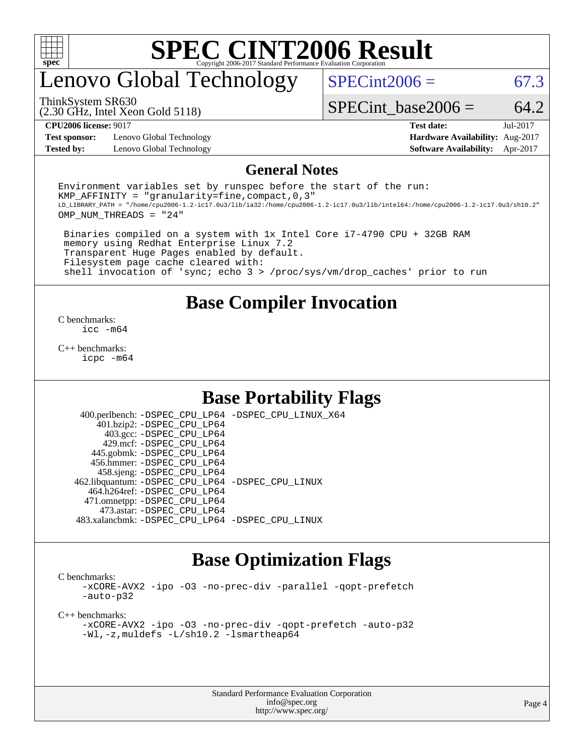

## enovo Global Technology

 $SPECint2006 = 67.3$  $SPECint2006 = 67.3$ 

(2.30 GHz, Intel Xeon Gold 5118) ThinkSystem SR630

SPECint base2006 =  $64.2$ 

**[Test sponsor:](http://www.spec.org/auto/cpu2006/Docs/result-fields.html#Testsponsor)** Lenovo Global Technology **[Hardware Availability:](http://www.spec.org/auto/cpu2006/Docs/result-fields.html#HardwareAvailability)** Aug-2017

**[CPU2006 license:](http://www.spec.org/auto/cpu2006/Docs/result-fields.html#CPU2006license)** 9017 **[Test date:](http://www.spec.org/auto/cpu2006/Docs/result-fields.html#Testdate)** Jul-2017 **[Tested by:](http://www.spec.org/auto/cpu2006/Docs/result-fields.html#Testedby)** Lenovo Global Technology **[Software Availability:](http://www.spec.org/auto/cpu2006/Docs/result-fields.html#SoftwareAvailability)** Apr-2017

#### **[General Notes](http://www.spec.org/auto/cpu2006/Docs/result-fields.html#GeneralNotes)**

Environment variables set by runspec before the start of the run: KMP AFFINITY = "granularity=fine, compact,  $0,3$ " LD\_LIBRARY\_PATH = "/home/cpu2006-1.2-ic17.0u3/lib/ia32:/home/cpu2006-1.2-ic17.0u3/lib/intel64:/home/cpu2006-1.2-ic17.0u3/sh10.2" OMP\_NUM\_THREADS = "24"

 Binaries compiled on a system with 1x Intel Core i7-4790 CPU + 32GB RAM memory using Redhat Enterprise Linux 7.2 Transparent Huge Pages enabled by default. Filesystem page cache cleared with: shell invocation of 'sync; echo 3 > /proc/sys/vm/drop\_caches' prior to run

### **[Base Compiler Invocation](http://www.spec.org/auto/cpu2006/Docs/result-fields.html#BaseCompilerInvocation)**

[C benchmarks](http://www.spec.org/auto/cpu2006/Docs/result-fields.html#Cbenchmarks): [icc -m64](http://www.spec.org/cpu2006/results/res2017q4/cpu2006-20170918-49487.flags.html#user_CCbase_intel_icc_64bit_bda6cc9af1fdbb0edc3795bac97ada53)

[C++ benchmarks:](http://www.spec.org/auto/cpu2006/Docs/result-fields.html#CXXbenchmarks) [icpc -m64](http://www.spec.org/cpu2006/results/res2017q4/cpu2006-20170918-49487.flags.html#user_CXXbase_intel_icpc_64bit_fc66a5337ce925472a5c54ad6a0de310)

### **[Base Portability Flags](http://www.spec.org/auto/cpu2006/Docs/result-fields.html#BasePortabilityFlags)**

 400.perlbench: [-DSPEC\\_CPU\\_LP64](http://www.spec.org/cpu2006/results/res2017q4/cpu2006-20170918-49487.flags.html#b400.perlbench_basePORTABILITY_DSPEC_CPU_LP64) [-DSPEC\\_CPU\\_LINUX\\_X64](http://www.spec.org/cpu2006/results/res2017q4/cpu2006-20170918-49487.flags.html#b400.perlbench_baseCPORTABILITY_DSPEC_CPU_LINUX_X64) 401.bzip2: [-DSPEC\\_CPU\\_LP64](http://www.spec.org/cpu2006/results/res2017q4/cpu2006-20170918-49487.flags.html#suite_basePORTABILITY401_bzip2_DSPEC_CPU_LP64) 403.gcc: [-DSPEC\\_CPU\\_LP64](http://www.spec.org/cpu2006/results/res2017q4/cpu2006-20170918-49487.flags.html#suite_basePORTABILITY403_gcc_DSPEC_CPU_LP64) 429.mcf: [-DSPEC\\_CPU\\_LP64](http://www.spec.org/cpu2006/results/res2017q4/cpu2006-20170918-49487.flags.html#suite_basePORTABILITY429_mcf_DSPEC_CPU_LP64) 445.gobmk: [-DSPEC\\_CPU\\_LP64](http://www.spec.org/cpu2006/results/res2017q4/cpu2006-20170918-49487.flags.html#suite_basePORTABILITY445_gobmk_DSPEC_CPU_LP64) 456.hmmer: [-DSPEC\\_CPU\\_LP64](http://www.spec.org/cpu2006/results/res2017q4/cpu2006-20170918-49487.flags.html#suite_basePORTABILITY456_hmmer_DSPEC_CPU_LP64) 458.sjeng: [-DSPEC\\_CPU\\_LP64](http://www.spec.org/cpu2006/results/res2017q4/cpu2006-20170918-49487.flags.html#suite_basePORTABILITY458_sjeng_DSPEC_CPU_LP64) 462.libquantum: [-DSPEC\\_CPU\\_LP64](http://www.spec.org/cpu2006/results/res2017q4/cpu2006-20170918-49487.flags.html#suite_basePORTABILITY462_libquantum_DSPEC_CPU_LP64) [-DSPEC\\_CPU\\_LINUX](http://www.spec.org/cpu2006/results/res2017q4/cpu2006-20170918-49487.flags.html#b462.libquantum_baseCPORTABILITY_DSPEC_CPU_LINUX) 464.h264ref: [-DSPEC\\_CPU\\_LP64](http://www.spec.org/cpu2006/results/res2017q4/cpu2006-20170918-49487.flags.html#suite_basePORTABILITY464_h264ref_DSPEC_CPU_LP64) 471.omnetpp: [-DSPEC\\_CPU\\_LP64](http://www.spec.org/cpu2006/results/res2017q4/cpu2006-20170918-49487.flags.html#suite_basePORTABILITY471_omnetpp_DSPEC_CPU_LP64) 473.astar: [-DSPEC\\_CPU\\_LP64](http://www.spec.org/cpu2006/results/res2017q4/cpu2006-20170918-49487.flags.html#suite_basePORTABILITY473_astar_DSPEC_CPU_LP64) 483.xalancbmk: [-DSPEC\\_CPU\\_LP64](http://www.spec.org/cpu2006/results/res2017q4/cpu2006-20170918-49487.flags.html#suite_basePORTABILITY483_xalancbmk_DSPEC_CPU_LP64) [-DSPEC\\_CPU\\_LINUX](http://www.spec.org/cpu2006/results/res2017q4/cpu2006-20170918-49487.flags.html#b483.xalancbmk_baseCXXPORTABILITY_DSPEC_CPU_LINUX)

### **[Base Optimization Flags](http://www.spec.org/auto/cpu2006/Docs/result-fields.html#BaseOptimizationFlags)**

[C benchmarks](http://www.spec.org/auto/cpu2006/Docs/result-fields.html#Cbenchmarks):

[-xCORE-AVX2](http://www.spec.org/cpu2006/results/res2017q4/cpu2006-20170918-49487.flags.html#user_CCbase_f-xCORE-AVX2) [-ipo](http://www.spec.org/cpu2006/results/res2017q4/cpu2006-20170918-49487.flags.html#user_CCbase_f-ipo) [-O3](http://www.spec.org/cpu2006/results/res2017q4/cpu2006-20170918-49487.flags.html#user_CCbase_f-O3) [-no-prec-div](http://www.spec.org/cpu2006/results/res2017q4/cpu2006-20170918-49487.flags.html#user_CCbase_f-no-prec-div) [-parallel](http://www.spec.org/cpu2006/results/res2017q4/cpu2006-20170918-49487.flags.html#user_CCbase_f-parallel) [-qopt-prefetch](http://www.spec.org/cpu2006/results/res2017q4/cpu2006-20170918-49487.flags.html#user_CCbase_f-qopt-prefetch) [-auto-p32](http://www.spec.org/cpu2006/results/res2017q4/cpu2006-20170918-49487.flags.html#user_CCbase_f-auto-p32)

[C++ benchmarks:](http://www.spec.org/auto/cpu2006/Docs/result-fields.html#CXXbenchmarks)

[-xCORE-AVX2](http://www.spec.org/cpu2006/results/res2017q4/cpu2006-20170918-49487.flags.html#user_CXXbase_f-xCORE-AVX2) [-ipo](http://www.spec.org/cpu2006/results/res2017q4/cpu2006-20170918-49487.flags.html#user_CXXbase_f-ipo) [-O3](http://www.spec.org/cpu2006/results/res2017q4/cpu2006-20170918-49487.flags.html#user_CXXbase_f-O3) [-no-prec-div](http://www.spec.org/cpu2006/results/res2017q4/cpu2006-20170918-49487.flags.html#user_CXXbase_f-no-prec-div) [-qopt-prefetch](http://www.spec.org/cpu2006/results/res2017q4/cpu2006-20170918-49487.flags.html#user_CXXbase_f-qopt-prefetch) [-auto-p32](http://www.spec.org/cpu2006/results/res2017q4/cpu2006-20170918-49487.flags.html#user_CXXbase_f-auto-p32) [-Wl,-z,muldefs](http://www.spec.org/cpu2006/results/res2017q4/cpu2006-20170918-49487.flags.html#user_CXXbase_link_force_multiple1_74079c344b956b9658436fd1b6dd3a8a) [-L/sh10.2 -lsmartheap64](http://www.spec.org/cpu2006/results/res2017q4/cpu2006-20170918-49487.flags.html#user_CXXbase_SmartHeap64_63911d860fc08c15fa1d5bf319b9d8d5)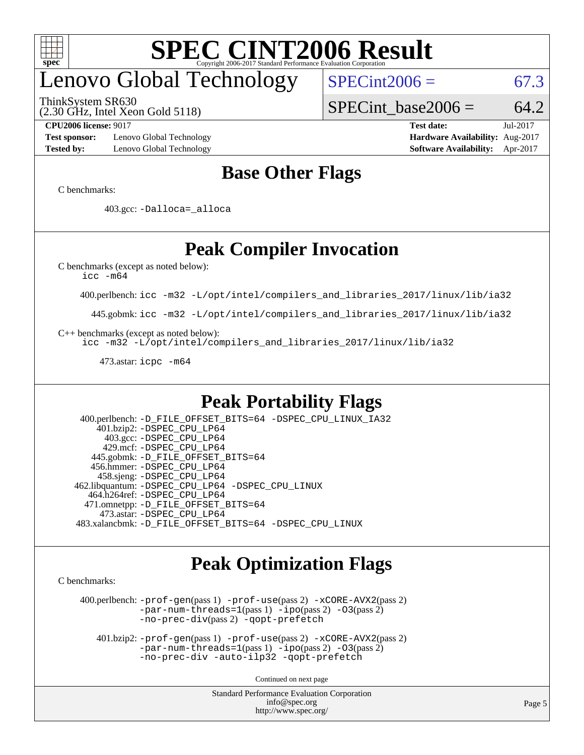

## enovo Global Technology

ThinkSystem SR630

(2.30 GHz, Intel Xeon Gold 5118)

 $SPECint2006 = 67.3$  $SPECint2006 = 67.3$ 

SPECint base2006 =  $64.2$ 

**[Test sponsor:](http://www.spec.org/auto/cpu2006/Docs/result-fields.html#Testsponsor)** Lenovo Global Technology **[Hardware Availability:](http://www.spec.org/auto/cpu2006/Docs/result-fields.html#HardwareAvailability)** Aug-2017 **[Tested by:](http://www.spec.org/auto/cpu2006/Docs/result-fields.html#Testedby)** Lenovo Global Technology **[Software Availability:](http://www.spec.org/auto/cpu2006/Docs/result-fields.html#SoftwareAvailability)** Apr-2017

**[CPU2006 license:](http://www.spec.org/auto/cpu2006/Docs/result-fields.html#CPU2006license)** 9017 **[Test date:](http://www.spec.org/auto/cpu2006/Docs/result-fields.html#Testdate)** Jul-2017

### **[Base Other Flags](http://www.spec.org/auto/cpu2006/Docs/result-fields.html#BaseOtherFlags)**

[C benchmarks](http://www.spec.org/auto/cpu2006/Docs/result-fields.html#Cbenchmarks):

403.gcc: [-Dalloca=\\_alloca](http://www.spec.org/cpu2006/results/res2017q4/cpu2006-20170918-49487.flags.html#b403.gcc_baseEXTRA_CFLAGS_Dalloca_be3056838c12de2578596ca5467af7f3)

### **[Peak Compiler Invocation](http://www.spec.org/auto/cpu2006/Docs/result-fields.html#PeakCompilerInvocation)**

[C benchmarks \(except as noted below\)](http://www.spec.org/auto/cpu2006/Docs/result-fields.html#Cbenchmarksexceptasnotedbelow):

[icc -m64](http://www.spec.org/cpu2006/results/res2017q4/cpu2006-20170918-49487.flags.html#user_CCpeak_intel_icc_64bit_bda6cc9af1fdbb0edc3795bac97ada53)

400.perlbench: [icc -m32 -L/opt/intel/compilers\\_and\\_libraries\\_2017/linux/lib/ia32](http://www.spec.org/cpu2006/results/res2017q4/cpu2006-20170918-49487.flags.html#user_peakCCLD400_perlbench_intel_icc_c29f3ff5a7ed067b11e4ec10a03f03ae)

445.gobmk: [icc -m32 -L/opt/intel/compilers\\_and\\_libraries\\_2017/linux/lib/ia32](http://www.spec.org/cpu2006/results/res2017q4/cpu2006-20170918-49487.flags.html#user_peakCCLD445_gobmk_intel_icc_c29f3ff5a7ed067b11e4ec10a03f03ae)

[C++ benchmarks \(except as noted below\):](http://www.spec.org/auto/cpu2006/Docs/result-fields.html#CXXbenchmarksexceptasnotedbelow)

[icc -m32 -L/opt/intel/compilers\\_and\\_libraries\\_2017/linux/lib/ia32](http://www.spec.org/cpu2006/results/res2017q4/cpu2006-20170918-49487.flags.html#user_CXXpeak_intel_icc_c29f3ff5a7ed067b11e4ec10a03f03ae)

473.astar: [icpc -m64](http://www.spec.org/cpu2006/results/res2017q4/cpu2006-20170918-49487.flags.html#user_peakCXXLD473_astar_intel_icpc_64bit_fc66a5337ce925472a5c54ad6a0de310)

### **[Peak Portability Flags](http://www.spec.org/auto/cpu2006/Docs/result-fields.html#PeakPortabilityFlags)**

 400.perlbench: [-D\\_FILE\\_OFFSET\\_BITS=64](http://www.spec.org/cpu2006/results/res2017q4/cpu2006-20170918-49487.flags.html#user_peakPORTABILITY400_perlbench_file_offset_bits_64_438cf9856305ebd76870a2c6dc2689ab) [-DSPEC\\_CPU\\_LINUX\\_IA32](http://www.spec.org/cpu2006/results/res2017q4/cpu2006-20170918-49487.flags.html#b400.perlbench_peakCPORTABILITY_DSPEC_CPU_LINUX_IA32) 401.bzip2: [-DSPEC\\_CPU\\_LP64](http://www.spec.org/cpu2006/results/res2017q4/cpu2006-20170918-49487.flags.html#suite_peakPORTABILITY401_bzip2_DSPEC_CPU_LP64) 403.gcc: [-DSPEC\\_CPU\\_LP64](http://www.spec.org/cpu2006/results/res2017q4/cpu2006-20170918-49487.flags.html#suite_peakPORTABILITY403_gcc_DSPEC_CPU_LP64) 429.mcf: [-DSPEC\\_CPU\\_LP64](http://www.spec.org/cpu2006/results/res2017q4/cpu2006-20170918-49487.flags.html#suite_peakPORTABILITY429_mcf_DSPEC_CPU_LP64) 445.gobmk: [-D\\_FILE\\_OFFSET\\_BITS=64](http://www.spec.org/cpu2006/results/res2017q4/cpu2006-20170918-49487.flags.html#user_peakPORTABILITY445_gobmk_file_offset_bits_64_438cf9856305ebd76870a2c6dc2689ab) 456.hmmer: [-DSPEC\\_CPU\\_LP64](http://www.spec.org/cpu2006/results/res2017q4/cpu2006-20170918-49487.flags.html#suite_peakPORTABILITY456_hmmer_DSPEC_CPU_LP64) 458.sjeng: [-DSPEC\\_CPU\\_LP64](http://www.spec.org/cpu2006/results/res2017q4/cpu2006-20170918-49487.flags.html#suite_peakPORTABILITY458_sjeng_DSPEC_CPU_LP64) 462.libquantum: [-DSPEC\\_CPU\\_LP64](http://www.spec.org/cpu2006/results/res2017q4/cpu2006-20170918-49487.flags.html#suite_peakPORTABILITY462_libquantum_DSPEC_CPU_LP64) [-DSPEC\\_CPU\\_LINUX](http://www.spec.org/cpu2006/results/res2017q4/cpu2006-20170918-49487.flags.html#b462.libquantum_peakCPORTABILITY_DSPEC_CPU_LINUX) 464.h264ref: [-DSPEC\\_CPU\\_LP64](http://www.spec.org/cpu2006/results/res2017q4/cpu2006-20170918-49487.flags.html#suite_peakPORTABILITY464_h264ref_DSPEC_CPU_LP64) 471.omnetpp: [-D\\_FILE\\_OFFSET\\_BITS=64](http://www.spec.org/cpu2006/results/res2017q4/cpu2006-20170918-49487.flags.html#user_peakPORTABILITY471_omnetpp_file_offset_bits_64_438cf9856305ebd76870a2c6dc2689ab) 473.astar: [-DSPEC\\_CPU\\_LP64](http://www.spec.org/cpu2006/results/res2017q4/cpu2006-20170918-49487.flags.html#suite_peakPORTABILITY473_astar_DSPEC_CPU_LP64) 483.xalancbmk: [-D\\_FILE\\_OFFSET\\_BITS=64](http://www.spec.org/cpu2006/results/res2017q4/cpu2006-20170918-49487.flags.html#user_peakPORTABILITY483_xalancbmk_file_offset_bits_64_438cf9856305ebd76870a2c6dc2689ab) [-DSPEC\\_CPU\\_LINUX](http://www.spec.org/cpu2006/results/res2017q4/cpu2006-20170918-49487.flags.html#b483.xalancbmk_peakCXXPORTABILITY_DSPEC_CPU_LINUX)

### **[Peak Optimization Flags](http://www.spec.org/auto/cpu2006/Docs/result-fields.html#PeakOptimizationFlags)**

[C benchmarks](http://www.spec.org/auto/cpu2006/Docs/result-fields.html#Cbenchmarks):

 400.perlbench: [-prof-gen](http://www.spec.org/cpu2006/results/res2017q4/cpu2006-20170918-49487.flags.html#user_peakPASS1_CFLAGSPASS1_LDCFLAGS400_perlbench_prof_gen_e43856698f6ca7b7e442dfd80e94a8fc)(pass 1) [-prof-use](http://www.spec.org/cpu2006/results/res2017q4/cpu2006-20170918-49487.flags.html#user_peakPASS2_CFLAGSPASS2_LDCFLAGS400_perlbench_prof_use_bccf7792157ff70d64e32fe3e1250b55)(pass 2) [-xCORE-AVX2](http://www.spec.org/cpu2006/results/res2017q4/cpu2006-20170918-49487.flags.html#user_peakPASS2_CFLAGSPASS2_LDCFLAGS400_perlbench_f-xCORE-AVX2)(pass 2) [-par-num-threads=1](http://www.spec.org/cpu2006/results/res2017q4/cpu2006-20170918-49487.flags.html#user_peakPASS1_CFLAGSPASS1_LDCFLAGS400_perlbench_par_num_threads_786a6ff141b4e9e90432e998842df6c2)(pass 1) [-ipo](http://www.spec.org/cpu2006/results/res2017q4/cpu2006-20170918-49487.flags.html#user_peakPASS2_CFLAGSPASS2_LDCFLAGS400_perlbench_f-ipo)(pass 2) [-O3](http://www.spec.org/cpu2006/results/res2017q4/cpu2006-20170918-49487.flags.html#user_peakPASS2_CFLAGSPASS2_LDCFLAGS400_perlbench_f-O3)(pass 2) [-no-prec-div](http://www.spec.org/cpu2006/results/res2017q4/cpu2006-20170918-49487.flags.html#user_peakPASS2_CFLAGSPASS2_LDCFLAGS400_perlbench_f-no-prec-div)(pass 2) [-qopt-prefetch](http://www.spec.org/cpu2006/results/res2017q4/cpu2006-20170918-49487.flags.html#user_peakCOPTIMIZE400_perlbench_f-qopt-prefetch)

 401.bzip2: [-prof-gen](http://www.spec.org/cpu2006/results/res2017q4/cpu2006-20170918-49487.flags.html#user_peakPASS1_CFLAGSPASS1_LDCFLAGS401_bzip2_prof_gen_e43856698f6ca7b7e442dfd80e94a8fc)(pass 1) [-prof-use](http://www.spec.org/cpu2006/results/res2017q4/cpu2006-20170918-49487.flags.html#user_peakPASS2_CFLAGSPASS2_LDCFLAGS401_bzip2_prof_use_bccf7792157ff70d64e32fe3e1250b55)(pass 2) [-xCORE-AVX2](http://www.spec.org/cpu2006/results/res2017q4/cpu2006-20170918-49487.flags.html#user_peakPASS2_CFLAGSPASS2_LDCFLAGS401_bzip2_f-xCORE-AVX2)(pass 2)  $-par-num-threads=1(pass 1) -ipo(pass 2) -O3(pass 2)$  $-par-num-threads=1(pass 1) -ipo(pass 2) -O3(pass 2)$  $-par-num-threads=1(pass 1) -ipo(pass 2) -O3(pass 2)$  $-par-num-threads=1(pass 1) -ipo(pass 2) -O3(pass 2)$  $-par-num-threads=1(pass 1) -ipo(pass 2) -O3(pass 2)$  $-par-num-threads=1(pass 1) -ipo(pass 2) -O3(pass 2)$ [-no-prec-div](http://www.spec.org/cpu2006/results/res2017q4/cpu2006-20170918-49487.flags.html#user_peakCOPTIMIZEPASS2_CFLAGSPASS2_LDCFLAGS401_bzip2_f-no-prec-div) [-auto-ilp32](http://www.spec.org/cpu2006/results/res2017q4/cpu2006-20170918-49487.flags.html#user_peakCOPTIMIZE401_bzip2_f-auto-ilp32) [-qopt-prefetch](http://www.spec.org/cpu2006/results/res2017q4/cpu2006-20170918-49487.flags.html#user_peakCOPTIMIZE401_bzip2_f-qopt-prefetch)

Continued on next page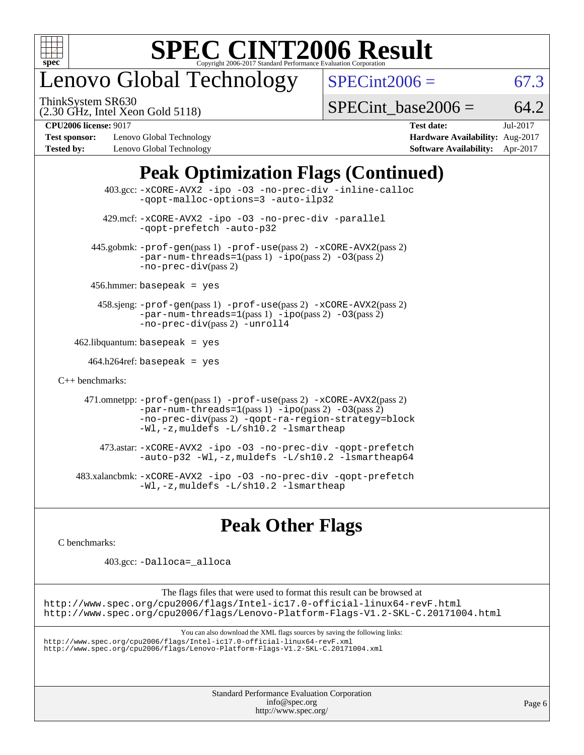

## enovo Global Technology

ThinkSystem SR630

 $SPECint2006 = 67.3$  $SPECint2006 = 67.3$ 

(2.30 GHz, Intel Xeon Gold 5118)

[SPECint\\_base2006 =](http://www.spec.org/auto/cpu2006/Docs/result-fields.html#SPECintbase2006)  $64.2$ 

**[Test sponsor:](http://www.spec.org/auto/cpu2006/Docs/result-fields.html#Testsponsor)** Lenovo Global Technology **[Hardware Availability:](http://www.spec.org/auto/cpu2006/Docs/result-fields.html#HardwareAvailability)** Aug-2017 **[Tested by:](http://www.spec.org/auto/cpu2006/Docs/result-fields.html#Testedby)** Lenovo Global Technology **[Software Availability:](http://www.spec.org/auto/cpu2006/Docs/result-fields.html#SoftwareAvailability)** Apr-2017

**[CPU2006 license:](http://www.spec.org/auto/cpu2006/Docs/result-fields.html#CPU2006license)** 9017 **[Test date:](http://www.spec.org/auto/cpu2006/Docs/result-fields.html#Testdate)** Jul-2017

## **[Peak Optimization Flags \(Continued\)](http://www.spec.org/auto/cpu2006/Docs/result-fields.html#PeakOptimizationFlags)**

|                      | 403.gcc: -xCORE-AVX2 -ipo -03 -no-prec-div -inline-calloc<br>-gopt-malloc-options=3 -auto-ilp32                                                                                                                                                 |
|----------------------|-------------------------------------------------------------------------------------------------------------------------------------------------------------------------------------------------------------------------------------------------|
|                      | 429.mcf: -xCORE-AVX2 -ipo -03 -no-prec-div -parallel<br>-gopt-prefetch -auto-p32                                                                                                                                                                |
|                      | 445.gobmk: -prof-gen(pass 1) -prof-use(pass 2) -xCORE-AVX2(pass 2)<br>$-par-num-threads=1(pass 1) -ipo(pass 2) -03(pass 2)$<br>$-no-prec-div(pass 2)$                                                                                           |
|                      | $456.$ hmmer: basepeak = yes                                                                                                                                                                                                                    |
|                      | 458.sjeng: -prof-gen(pass 1) -prof-use(pass 2) -xCORE-AVX2(pass 2)<br>$-par-num-threads=1(pass 1) -ipo(pass 2) -03(pass 2)$<br>-no-prec-div(pass 2) -unroll4                                                                                    |
|                      | $462$ .libquantum: basepeak = yes                                                                                                                                                                                                               |
|                      | $464.h264$ ref: basepeak = yes                                                                                                                                                                                                                  |
| $C_{++}$ benchmarks: |                                                                                                                                                                                                                                                 |
|                      | 471.omnetpp: -prof-gen(pass 1) -prof-use(pass 2) -xCORE-AVX2(pass 2)<br>$-par-num-threads=1(pass 1) -ipo(pass 2) -03(pass 2)$<br>-no-prec-div(pass 2) -qopt-ra-region-strategy=block<br>$-Wl$ , $-z$ , muldefs $-L/\nabla L$ , 2 $-l$ smartheap |
|                      | 473.astar: -xCORE-AVX2 -ipo -03 -no-prec-div -qopt-prefetch<br>$-$ auto-p32 -Wl,-z, muldefs -L/sh10.2 -lsmartheap64                                                                                                                             |
|                      | 483.xalancbmk: -xCORE-AVX2 -ipo -03 -no-prec-div -qopt-prefetch<br>$-Wl$ , $-z$ , muldefs $-L/\nabla L$ , 2 $-l$ smartheap                                                                                                                      |

## **[Peak Other Flags](http://www.spec.org/auto/cpu2006/Docs/result-fields.html#PeakOtherFlags)**

[C benchmarks](http://www.spec.org/auto/cpu2006/Docs/result-fields.html#Cbenchmarks):

403.gcc: [-Dalloca=\\_alloca](http://www.spec.org/cpu2006/results/res2017q4/cpu2006-20170918-49487.flags.html#b403.gcc_peakEXTRA_CFLAGS_Dalloca_be3056838c12de2578596ca5467af7f3)

The flags files that were used to format this result can be browsed at <http://www.spec.org/cpu2006/flags/Intel-ic17.0-official-linux64-revF.html> <http://www.spec.org/cpu2006/flags/Lenovo-Platform-Flags-V1.2-SKL-C.20171004.html>

You can also download the XML flags sources by saving the following links:

<http://www.spec.org/cpu2006/flags/Intel-ic17.0-official-linux64-revF.xml> <http://www.spec.org/cpu2006/flags/Lenovo-Platform-Flags-V1.2-SKL-C.20171004.xml>